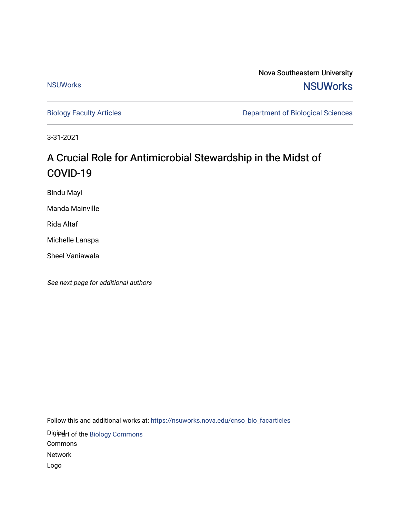**[NSUWorks](http://nsuworks.nova.edu/)** 

Nova Southeastern University **NSUWorks** 

[Biology Faculty Articles](https://nsuworks.nova.edu/cnso_bio_facarticles) **Department of Biological Sciences** 

3-31-2021

# A Crucial Role for Antimicrobial Stewardship in the Midst of COVID-19

Bindu Mayi

Manda Mainville

Rida Altaf

Michelle Lanspa

Sheel Vaniawala

See next page for additional authors

Follow this and additional works at: [https://nsuworks.nova.edu/cnso\\_bio\\_facarticles](https://nsuworks.nova.edu/cnso_bio_facarticles?utm_source=nsuworks.nova.edu%2Fcnso_bio_facarticles%2F1141&utm_medium=PDF&utm_campaign=PDFCoverPages) 

Digiteart of the Biology Commons

Commons

Network

Logo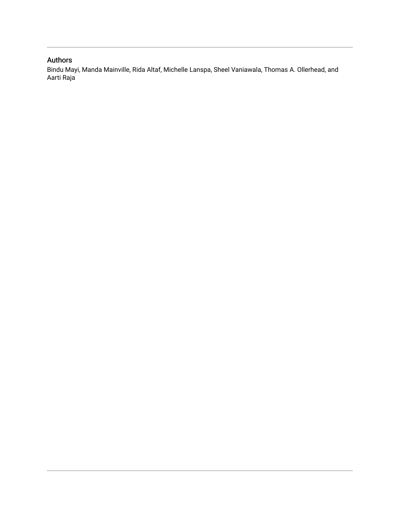### Authors

Bindu Mayi, Manda Mainville, Rida Altaf, Michelle Lanspa, Sheel Vaniawala, Thomas A. Ollerhead, and Aarti Raja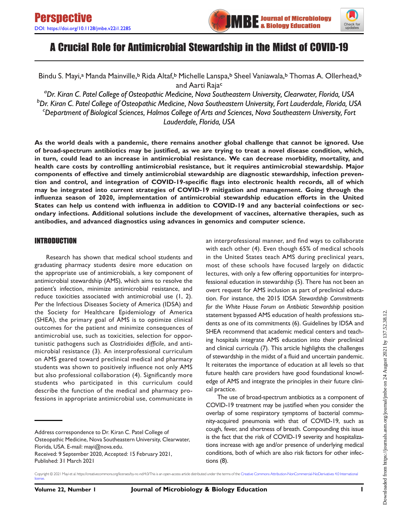



## A Crucial Role for Antimicrobial Stewardship in the Midst of COVID-19

Bindu S. Mayi,ª Manda Mainville,<sup>b</sup> Rida Altaf,<sup>b</sup> Michelle Lanspa,<sup>b</sup> Sheel Vaniawala,<sup>b</sup> Thomas A. Ollerhead,<sup>b</sup> and Aarti Rajac

a Dr. Kiran C. Patel College of Osteopathic Medicine, Nova Southeastern University, Clearwater, Florida, USA b Dr. Kiran C. Patel College of Osteopathic Medicine, Nova Southeastern University, Fort Lauderdale, Florida, USA c Department of Biological Sciences, Halmos College of Arts and Sciences, Nova Southeastern University, Fort Lauderdale, Florida, USA

As the world deals with a pandemic, there remains another global challenge that cannot be ignored. Use of broad-spectrum antibiotics may be justified, as we are trying to treat a novel disease condition, which, in turn, could lead to an increase in antimicrobial resistance. We can decrease morbidity, mortality, and health care costs by controlling antimicrobial resistance, but it requires antimicrobial stewardship. Major components of effective and timely antimicrobial stewardship are diagnostic stewardship, infection prevention and control, and integration of COVID-19-specific flags into electronic health records, all of which may be integrated into current strategies of COVID-19 mitigation and management. Going through the influenza season of 2020, implementation of antimicrobial stewardship education efforts in the United States can help us contend with influenza in addition to COVID-19 and any bacterial coinfections or secondary infections. Additional solutions include the development of vaccines, alternative therapies, such as antibodies, and advanced diagnostics using advances in genomics and computer science.

#### INTRODUCTION

Research has shown that medical school students and graduating pharmacy students desire more education on the appropriate use of antimicrobials, a key component of antimicrobial stewardship (AMS), which aims to resolve the patient's infection, minimize antimicrobial resistance, and reduce toxicities associated with antimicrobial use ([1,](#page-5-0) [2](#page-5-1)). Per the Infectious Diseases Society of America (IDSA) and the Society for Healthcare Epidemiology of America (SHEA), the primary goal of AMS is to optimize clinical outcomes for the patient and minimize consequences of antimicrobial use, such as toxicities, selection for opportunistic pathogens such as Clostridioides difficile, and antimicrobial resistance ([3\)](#page-5-2). An interprofessional curriculum on AMS geared toward preclinical medical and pharmacy students was shown to positively influence not only AMS but also professional collaboration ([4](#page-5-3)). Significantly more students who participated in this curriculum could describe the function of the medical and pharmacy professions in appropriate antimicrobial use, communicate in

Address correspondence to Dr. Kiran C. Patel College of Osteopathic Medicine, Nova Southeastern University, Clearwater, Florida, USA. E-mail: [mayi@nova.edu.](mailto:mayi@nova.edu)

an interprofessional manner, and find ways to collaborate with each other ([4](#page-5-3)). Even though 65% of medical schools in the United States teach AMS during preclinical years, most of these schools have focused largely on didactic lectures, with only a few offering opportunities for interprofessional education in stewardship [\(5](#page-5-4)). There has not been an overt request for AMS inclusion as part of preclinical education. For instance, the 2015 IDSA Stewardship Commitments for the White House Forum on Antibiotic Stewardship position statement bypassed AMS education of health professions students as one of its commitments [\(6](#page-5-5)). Guidelines by IDSA and SHEA recommend that academic medical centers and teaching hospitals integrate AMS education into their preclinical and clinical curricula ([7\)](#page-5-6). This article highlights the challenges of stewardship in the midst of a fluid and uncertain pandemic. It reiterates the importance of education at all levels so that future health care providers have good foundational knowledge of AMS and integrate the principles in their future clinical practice.

The use of broad-spectrum antibiotics as a component of COVID-19 treatment may be justified when you consider the overlap of some respiratory symptoms of bacterial community-acquired pneumonia with that of COVID-19, such as cough, fever, and shortness of breath. Compounding this issue is the fact that the risk of COVID-19 severity and hospitalizations increase with age and/or presence of underlying medical conditions, both of which are also risk factors for other infections ([8](#page-5-7)).

Received: 9 September 2020, Accepted: 15 February 2021, Published: 31 March 2021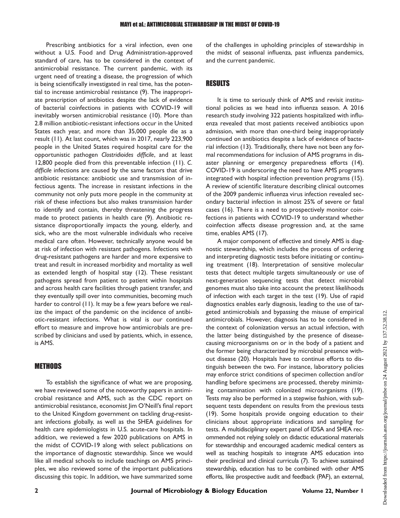Prescribing antibiotics for a viral infection, even one without a U.S. Food and Drug Administration-approved standard of care, has to be considered in the context of antimicrobial resistance. The current pandemic, with its urgent need of treating a disease, the progression of which is being scientifically investigated in real time, has the potential to increase antimicrobial resistance [\(9](#page-5-8)). The inappropriate prescription of antibiotics despite the lack of evidence of bacterial coinfections in patients with COVID-19 will inevitably worsen antimicrobial resistance ([10\)](#page-5-9). More than 2.8 million antibiotic-resistant infections occur in the United States each year, and more than 35,000 people die as a result ([11\)](#page-5-10). At last count, which was in 2017, nearly 223,900 people in the United States required hospital care for the opportunistic pathogen Clostridioides difficile, and at least 12,800 people died from this preventable infection ([11\)](#page-5-10). C. difficile infections are caused by the same factors that drive antibiotic resistance: antibiotic use and transmission of infectious agents. The increase in resistant infections in the community not only puts more people in the community at risk of these infections but also makes transmission harder to identify and contain, thereby threatening the progress made to protect patients in health care ([9\)](#page-5-8). Antibiotic resistance disproportionally impacts the young, elderly, and sick, who are the most vulnerable individuals who receive medical care often. However, technically anyone would be at risk of infection with resistant pathogens. Infections with drug-resistant pathogens are harder and more expensive to treat and result in increased morbidity and mortality as well as extended length of hospital stay ([12\)](#page-5-11). These resistant pathogens spread from patient to patient within hospitals and across health care facilities through patient transfer, and they eventually spill over into communities, becoming much harder to control [\(11](#page-5-10)). It may be a few years before we realize the impact of the pandemic on the incidence of antibiotic-resistant infections. What is vital is our continued effort to measure and improve how antimicrobials are prescribed by clinicians and used by patients, which, in essence, is AMS.

#### **METHODS**

To establish the significance of what we are proposing, we have reviewed some of the noteworthy papers in antimicrobial resistance and AMS, such as the CDC report on antimicrobial resistance, economist Jim O'Neill's final report to the United Kingdom government on tackling drug-resistant infections globally, as well as the SHEA guidelines for health care epidemiologists in U.S. acute-care hospitals. In addition, we reviewed a few 2020 publications on AMS in the midst of COVID-19 along with select publications on the importance of diagnostic stewardship. Since we would like all medical schools to include teachings on AMS principles, we also reviewed some of the important publications discussing this topic. In addition, we have summarized some

of the challenges in upholding principles of stewardship in the midst of seasonal influenza, past influenza pandemics, and the current pandemic.

#### RESULTS

It is time to seriously think of AMS and revisit institutional policies as we head into influenza season. A 2016 research study involving 322 patients hospitalized with influenza revealed that most patients received antibiotics upon admission, with more than one-third being inappropriately continued on antibiotics despite a lack of evidence of bacterial infection [\(13](#page-5-12)). Traditionally, there have not been any formal recommendations for inclusion of AMS programs in disaster planning or emergency preparedness efforts ([14\)](#page-5-13). COVID-19 is underscoring the need to have AMS programs integrated with hospital infection prevention programs ([15\)](#page-6-0). A review of scientific literature describing clinical outcomes of the 2009 pandemic influenza virus infection revealed secondary bacterial infection in almost 25% of severe or fatal cases [\(16](#page-6-1)). There is a need to prospectively monitor coinfections in patients with COVID-19 to understand whether coinfection affects disease progression and, at the same time, enables AMS [\(17](#page-6-2)).

A major component of effective and timely AMS is diagnostic stewardship, which includes the process of ordering and interpreting diagnostic tests before initiating or continuing treatment [\(18](#page-6-3)). Interpretation of sensitive molecular tests that detect multiple targets simultaneously or use of next-generation sequencing tests that detect microbial genomes must also take into account the pretest likelihoods of infection with each target in the test [\(19](#page-6-4)). Use of rapid diagnostics enables early diagnosis, leading to the use of targeted antimicrobials and bypassing the misuse of empirical antimicrobials. However, diagnosis has to be considered in the context of colonization versus an actual infection, with the latter being distinguished by the presence of diseasecausing microorganisms on or in the body of a patient and the former being characterized by microbial presence without disease [\(20](#page-6-5)). Hospitals have to continue efforts to distinguish between the two. For instance, laboratory policies may enforce strict conditions of specimen collection and/or handling before specimens are processed, thereby minimizing contamination with colonized microorganisms ([19\)](#page-6-4). Tests may also be performed in a stepwise fashion, with subsequent tests dependent on results from the previous tests ([19](#page-6-4)). Some hospitals provide ongoing education to their clinicians about appropriate indications and sampling for tests. A multidisciplinary expert panel of IDSA and SHEA recommended not relying solely on didactic educational materials for stewardship and encouraged academic medical centers as well as teaching hospitals to integrate AMS education into their preclinical and clinical curricula ([7](#page-5-6)). To achieve sustained stewardship, education has to be combined with other AMS efforts, like prospective audit and feedback (PAF), an external,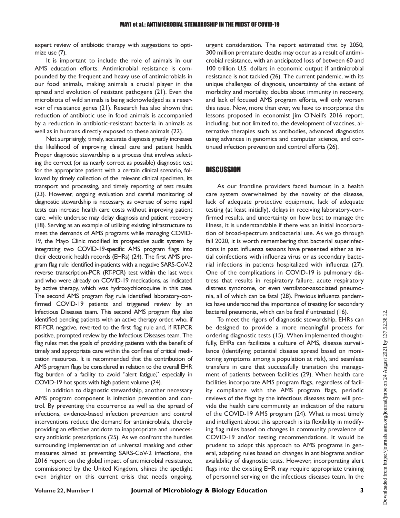expert review of antibiotic therapy with suggestions to optimize use [\(7\)](#page-5-6).

It is important to include the role of animals in our AMS education efforts. Antimicrobial resistance is compounded by the frequent and heavy use of antimicrobials in our food animals, making animals a crucial player in the spread and evolution of resistant pathogens [\(21](#page-6-6)). Even the microbiota of wild animals is being acknowledged as a reservoir of resistance genes [\(21](#page-6-6)). Research has also shown that reduction of antibiotic use in food animals is accompanied by a reduction in antibiotic-resistant bacteria in animals as well as in humans directly exposed to these animals [\(22](#page-6-7)).

Not surprisingly, timely, accurate diagnosis greatly increases the likelihood of improving clinical care and patient health. Proper diagnostic stewardship is a process that involves selecting the correct (or as nearly correct as possible) diagnostic test for the appropriate patient with a certain clinical scenario, followed by timely collection of the relevant clinical specimen, its transport and processing, and timely reporting of test results [\(23](#page-6-8)). However, ongoing evaluation and careful monitoring of diagnostic stewardship is necessary, as overuse of some rapid tests can increase health care costs without improving patient care, while underuse may delay diagnosis and patient recovery [\(18](#page-6-3)). Serving as an example of utilizing existing infrastructure to meet the demands of AMS programs while managing COVID-19, the Mayo Clinic modified its prospective audit system by integrating two COVID-19-specific AMS program flags into their electronic health records (EHRs) [\(24\)](#page-6-9). The first AMS program flag rule identified in-patients with a negative SARS-CoV-2 reverse transcription-PCR (RT-PCR) test within the last week and who were already on COVID-19 medications, as indicated by active therapy, which was hydroxychloroquine in this case. The second AMS program flag rule identified laboratory-confirmed COVID-19 patients and triggered review by an Infectious Diseases team. This second AMS program flag also identified pending patients with an active therapy order, who, if RT-PCR negative, reverted to the first flag rule and, if RT-PCR positive, prompted review by the Infectious Diseases team. The flag rules met the goals of providing patients with the benefit of timely and appropriate care within the confines of critical medication resources. It is recommended that the contribution of AMS program flags be considered in relation to the overall EHR flag burden of a facility to avoid "alert fatigue," especially in COVID-19 hot spots with high patient volume ([24\)](#page-6-9).

In addition to diagnostic stewardship, another necessary AMS program component is infection prevention and control. By preventing the occurrence as well as the spread of infections, evidence-based infection prevention and control interventions reduce the demand for antimicrobials, thereby providing an effective antidote to inappropriate and unnecessary antibiotic prescriptions [\(25](#page-6-10)). As we confront the hurdles surrounding implementation of universal masking and other measures aimed at preventing SARS-CoV-2 infections, the 2016 report on the global impact of antimicrobial resistance, commissioned by the United Kingdom, shines the spotlight even brighter on this current crisis that needs ongoing,

urgent consideration. The report estimated that by 2050, 300 million premature deaths may occur as a result of antimicrobial resistance, with an anticipated loss of between 60 and 100 trillion U.S. dollars in economic output if antimicrobial resistance is not tackled [\(26](#page-6-11)). The current pandemic, with its unique challenges of diagnosis, uncertainty of the extent of morbidity and mortality, doubts about immunity in recovery, and lack of focused AMS program efforts, will only worsen this issue. Now, more than ever, we have to incorporate the lessons proposed in economist Jim O'Neill's 2016 report, including, but not limited to, the development of vaccines, alternative therapies such as antibodies, advanced diagnostics using advances in genomics and computer science, and continued infection prevention and control efforts ([26\)](#page-6-11).

#### **DISCUSSION**

As our frontline providers faced burnout in a health care system overwhelmed by the novelty of the disease, lack of adequate protective equipment, lack of adequate testing (at least initially), delays in receiving laboratory-confirmed results, and uncertainty on how best to manage the illness, it is understandable if there was an initial incorporation of broad-spectrum antibacterial use. As we go through fall 2020, it is worth remembering that bacterial superinfections in past influenza seasons have presented either as initial coinfections with influenza virus or as secondary bacterial infections in patients hospitalized with influenza ([27\)](#page-6-12). One of the complications in COVID-19 is pulmonary distress that results in respiratory failure, acute respiratory distress syndrome, or even ventilator-associated pneumonia, all of which can be fatal [\(28](#page-6-13)). Previous influenza pandemics have underscored the importance of treating for secondary bacterial pneumonia, which can be fatal if untreated [\(16\)](#page-6-1).

To meet the rigors of diagnostic stewardship, EHRs can be designed to provide a more meaningful process for ordering diagnostic tests ([15\)](#page-6-0). When implemented thoughtfully, EHRs can facilitate a culture of AMS, disease surveillance (identifying potential disease spread based on monitoring symptoms among a population at risk), and seamless transfers in care that successfully transition the management of patients between facilities ([29\)](#page-6-14). When health care facilities incorporate AMS program flags, regardless of facility compliance with the AMS program flags, periodic reviews of the flags by the infectious diseases team will provide the health care community an indication of the nature of the COVID-19 AMS program [\(24](#page-6-9)). What is most timely and intelligent about this approach is its flexibility in modifying flag rules based on changes in community prevalence of COVID-19 and/or testing recommendations. It would be prudent to adopt this approach to AMS programs in general, adapting rules based on changes in antibiograms and/or availability of diagnostic tests. However, incorporating alert flags into the existing EHR may require appropriate training of personnel serving on the infectious diseases team. In the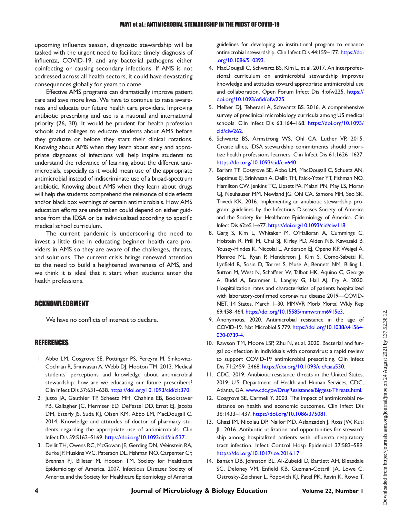upcoming influenza season, diagnostic stewardship will be tasked with the urgent need to facilitate timely diagnosis of influenza, COVID-19, and any bacterial pathogens either coinfecting or causing secondary infections. If AMS is not addressed across all health sectors, it could have devastating consequences globally for years to come.

Effective AMS programs can dramatically improve patient care and save more lives. We have to continue to raise awareness and educate our future health care providers. Improving antibiotic prescribing and use is a national and international priority [\(26,](#page-6-11) [30\)](#page-6-15). It would be prudent for health profession schools and colleges to educate students about AMS before they graduate or before they start their clinical rotations. Knowing about AMS when they learn about early and appropriate diagnoses of infections will help inspire students to understand the relevance of learning about the different antimicrobials, especially as it would mean use of the appropriate antimicrobial instead of indiscriminate use of a broad-spectrum antibiotic. Knowing about AMS when they learn about drugs will help the students comprehend the relevance of side effects and/or black box warnings of certain antimicrobials. How AMS education efforts are undertaken could depend on either guidance from the IDSA or be individualized according to specific medical school curriculum.

The current pandemic is underscoring the need to invest a little time in educating beginner health care providers in AMS so they are aware of the challenges, threats, and solutions. The current crisis brings renewed attention to the need to build a heightened awareness of AMS, and we think it is ideal that it start when students enter the health professions.

#### ACKNOWLEDGMENT

We have no conflicts of interest to declare.

#### REFERENCES

- <span id="page-5-0"></span>1. Abbo LM, Cosgrove SE, Pottinger PS, Pereyra M, Sinkowitz-Cochran R, Srinivasan A, Webb DJ, Hooton TM. 2013. Medical students' perceptions and knowledge about antimicrobial stewardship: how are we educating our future prescribers? Clin Infect Dis 57:631–638. [https://doi.org/10.1093/cid/cit370.](https://doi.org/10.1093/cid/cit370)
- <span id="page-5-1"></span>2. Justo JA, Gauthier TP, Scheetz MH, Chahine EB, Bookstaver PB, Gallagher JC, Hermsen ED, DePestel DD, Ernst EJ, Jacobs DM, Esterly JS, Suda KJ, Olsen KM, Abbo LM, MacDougall C. 2014. Knowledge and attitudes of doctor of pharmacy students regarding the appropriate use of antimicrobials. Clin Infect Dis 59:S162–S169. [https://doi.org/10.1093/cid/ciu537.](https://doi.org/10.1093/cid/ciu537)
- <span id="page-5-2"></span>3. Dellit TH, Owens RC, McGowan JE, Gerding DN, Weinstein RA, Burke JP, Huskins WC, Paterson DL, Fishman NO, Carpenter CF, Brennan PJ, Billeter M, Hooton TM, Society for Healthcare Epidemiology of America. 2007. Infectious Diseases Society of America and the Society for Healthcare Epidemiology of America

guidelines for developing an institutional program to enhance antimicrobial stewardship. Clin Infect Dis 44:159–177. [https://doi](https://doi.org/10.1086/510393) [.org/10.1086/510393.](https://doi.org/10.1086/510393)

- <span id="page-5-3"></span>4. MacDougall C, Schwartz BS, Kim L, et al. 2017. An interprofessional curriculum on antimicrobial stewardship improves knowledge and attitudes toward appropriate antimicrobial use and collaboration. Open Forum Infect Dis 4:ofw225. [https://](https://doi.org/10.1093/ofid/ofw225) [doi.org/10.1093/o](https://doi.org/10.1093/ofid/ofw225)fid/ofw225.
- <span id="page-5-4"></span>5. Melber DJ, Teherani A, Schwartz BS. 2016. A comprehensive survey of preclinical microbiology curricula among US medical schools. Clin Infect Dis 63:164–168. [https://doi.org/10.1093/](https://doi.org/10.1093/cid/ciw262) [cid/ciw262.](https://doi.org/10.1093/cid/ciw262)
- <span id="page-5-5"></span>6. Schwartz BS, Armstrong WS, Ohl CA, Luther VP. 2015. Create allies, IDSA stewardship commitments should prioritize health professions learners. Clin Infect Dis 61:1626–1627. [https://doi.org/10.1093/cid/civ640.](https://doi.org/10.1093/cid/civ640)
- <span id="page-5-6"></span>7. Barlam TF, Cosgrove SE, Abbo LM, MacDougall C, Schuetz AN, Septimus EJ, Srinivasan A, Dellit TH, Falck-Ytter YT, Fishman NO, Hamilton CW, Jenkins TC, Lipsett PA, Malani PN, May LS, Moran GJ, Neuhauser MM, Newland JG, Ohl CA, Samore MH, Seo SK, Trivedi KK. 2016. Implementing an antibiotic stewardship program: guidelines by the Infectious Diseases Society of America and the Society for Healthcare Epidemiology of America. Clin Infect Dis 62:e51–e77. [https://doi.org/10.1093/cid/ciw118.](https://doi.org/10.1093/cid/ciw118)
- <span id="page-5-7"></span>8. Garg S, Kim L, Whitaker M, O'Halloran A, Cummings C, Holstein R, Prill M, Chai SJ, Kirley PD, Alden NB, Kawasaki B, Yousey-Hindes K, Niccolai L, Anderson EJ, Openo KP, Weigel A, Monroe ML, Ryan P, Henderson J, Kim S, Como-Sabetti K, Lynfield R, Sosin D, Torres S, Muse A, Bennett NM, Billing L, Sutton M, West N, Schaffner W, Talbot HK, Aquino C, George A, Budd A, Brammer L, Langley G, Hall AJ, Fry A. 2020. Hospitalization rates and characteristics of patients hospitalized with laboratory-confirmed coronavirus disease 2019—COVID-NET, 14 States, March 1–30. MMWR Morb Mortal Wkly Rep 69:458–464. <https://doi.org/10.15585/mmwr.mm6915e3>.
- <span id="page-5-8"></span>9. Anonymous. 2020. Antimicrobial resistance in the age of COVID-19. Nat Microbiol 5:779. [https://doi.org/10.1038/s41564-](https://doi.org/10.1038/s41564-020-0739-4) [020-0739-4.](https://doi.org/10.1038/s41564-020-0739-4)
- <span id="page-5-9"></span>10. Rawson TM, Moore LSP, Zhu N, et al. 2020. Bacterial and fungal co-infection in individuals with coronavirus: a rapid review to support COVID-19 antimicrobial prescribing. Clin Infect Dis 71:2459–2468. [https://doi.org/10.1093/cid/ciaa530.](https://doi.org/10.1093/cid/ciaa530)
- <span id="page-5-10"></span>11. CDC. 2019. Antibiotic resistance threats in the United States, 2019. U.S. Department of Health and Human Services, CDC, Atlanta, GA. [www.cdc.gov/DrugResistance/Biggest-Threats.html](http://www.cdc.gov/DrugResistance/Biggest-Threats.html).
- <span id="page-5-11"></span>12. Cosgrove SE, Carmeli Y. 2003. The impact of antimicrobial resistance on health and economic outcomes. Clin Infect Dis 36:1433–1437. [https://doi.org/10.1086/375081.](https://doi.org/10.1086/375081)
- <span id="page-5-12"></span>13. Ghazi IM, Nicolau DP, Nailor MD, Aslanzadeh J, Ross JW, Kuti JL. 2016. Antibiotic utilization and opportunities for stewardship among hospitalized patients with influenza respiratory tract infection. Infect Control Hosp Epidemiol 37:583–589. <https://doi.org/10.1017/ice.2016.17>.
- <span id="page-5-13"></span>14. Banach DB, Johnston BL, Al-Zubeidi D, Bartlett AH, Bleasdale SC, Deloney VM, Enfield KB, Guzman-Cottrill JA, Lowe C, Ostrosky-Zeichner L, Popovich KJ, Patel PK, Ravin K, Rowe T,